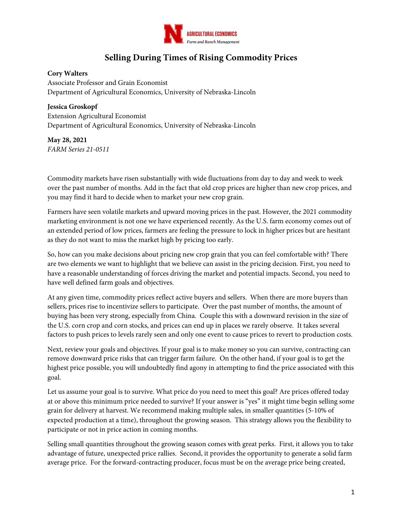

## **Selling During Times of Rising Commodity Prices**

## **Cory Walters**

Associate Professor and Grain Economist Department of Agricultural Economics, University of Nebraska-Lincoln

## **Jessica Groskopf**

Extension Agricultural Economist Department of Agricultural Economics, University of Nebraska-Lincoln

**May 28, 2021** *FARM Series 21-0511*

Commodity markets have risen substantially with wide fluctuations from day to day and week to week over the past number of months. Add in the fact that old crop prices are higher than new crop prices, and you may find it hard to decide when to market your new crop grain.

Farmers have seen volatile markets and upward moving prices in the past. However, the 2021 commodity marketing environment is not one we have experienced recently. As the U.S. farm economy comes out of an extended period of low prices, farmers are feeling the pressure to lock in higher prices but are hesitant as they do not want to miss the market high by pricing too early.

So, how can you make decisions about pricing new crop grain that you can feel comfortable with? There are two elements we want to highlight that we believe can assist in the pricing decision. First, you need to have a reasonable understanding of forces driving the market and potential impacts. Second, you need to have well defined farm goals and objectives.

At any given time, commodity prices reflect active buyers and sellers. When there are more buyers than sellers, prices rise to incentivize sellers to participate. Over the past number of months, the amount of buying has been very strong, especially from China. Couple this with a downward revision in the size of the U.S. corn crop and corn stocks, and prices can end up in places we rarely observe. It takes several factors to push prices to levels rarely seen and only one event to cause prices to revert to production costs.

Next, review your goals and objectives. If your goal is to make money so you can survive, contracting can remove downward price risks that can trigger farm failure. On the other hand, if your goal is to get the highest price possible, you will undoubtedly find agony in attempting to find the price associated with this goal.

Let us assume your goal is to survive. What price do you need to meet this goal? Are prices offered today at or above this minimum price needed to survive? If your answer is "yes" it might time begin selling some grain for delivery at harvest. We recommend making multiple sales, in smaller quantities (5-10% of expected production at a time), throughout the growing season. This strategy allows you the flexibility to participate or not in price action in coming months.

Selling small quantities throughout the growing season comes with great perks. First, it allows you to take advantage of future, unexpected price rallies. Second, it provides the opportunity to generate a solid farm average price. For the forward-contracting producer, focus must be on the average price being created,